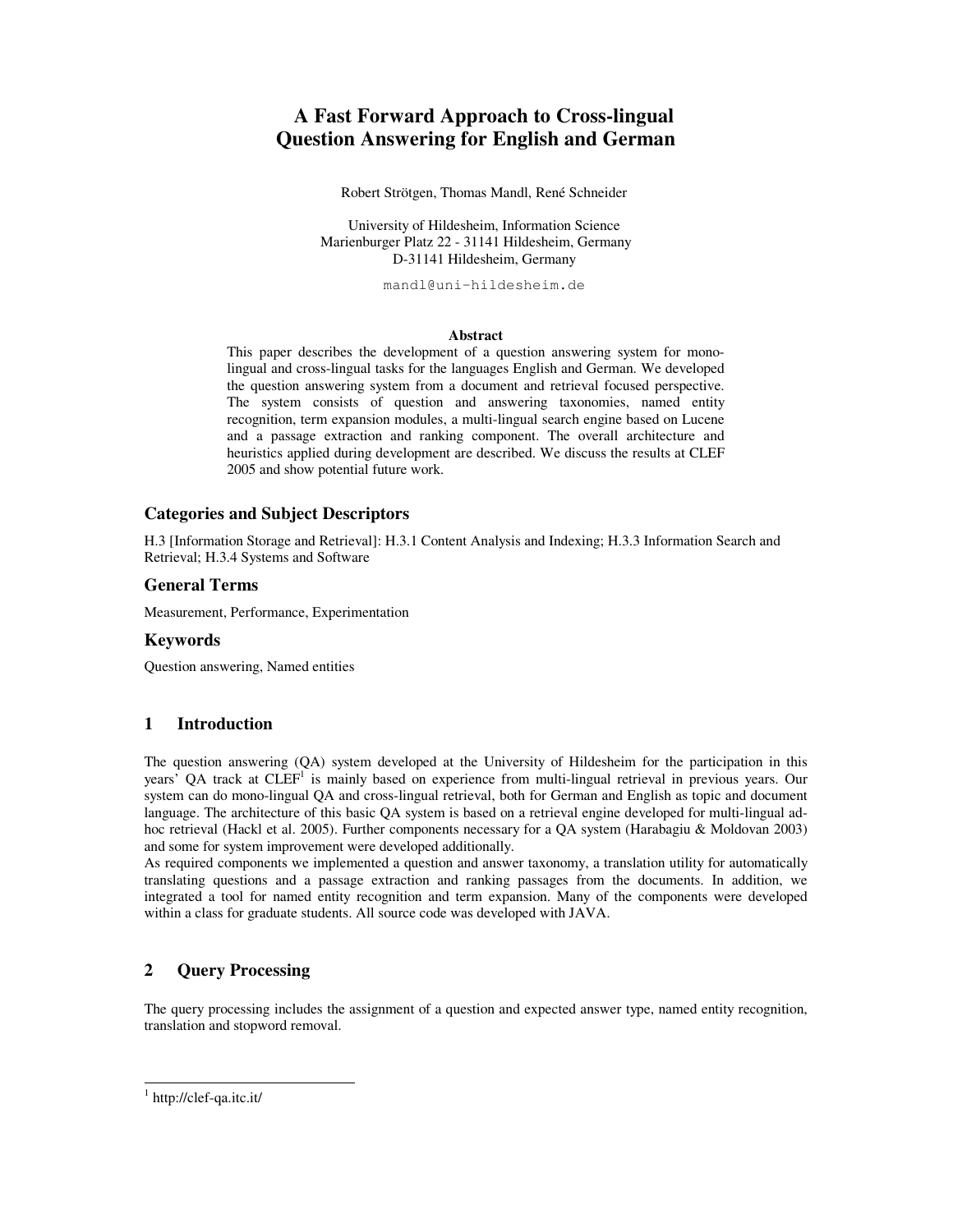# **A Fast Forward Approach to Cross-lingual Question Answering for English and German**

Robert Strötgen, Thomas Mandl, René Schneider

University of Hildesheim, Information Science Marienburger Platz 22 - 31141 Hildesheim, Germany D-31141 Hildesheim, Germany

mandl@uni-hildesheim.de

#### **Abstract**

This paper describes the development of a question answering system for monolingual and cross-lingual tasks for the languages English and German. We developed the question answering system from a document and retrieval focused perspective. The system consists of question and answering taxonomies, named entity recognition, term expansion modules, a multi-lingual search engine based on Lucene and a passage extraction and ranking component. The overall architecture and heuristics applied during development are described. We discuss the results at CLEF 2005 and show potential future work.

## **Categories and Subject Descriptors**

H.3 [Information Storage and Retrieval]: H.3.1 Content Analysis and Indexing; H.3.3 Information Search and Retrieval; H.3.4 Systems and Software

#### **General Terms**

Measurement, Performance, Experimentation

### **Keywords**

Question answering, Named entities

## **1 Introduction**

The question answering (QA) system developed at the University of Hildesheim for the participation in this years<sup>7</sup> QA track at CLEF<sup>1</sup> is mainly based on experience from multi-lingual retrieval in previous years. Our system can do mono-lingual QA and cross-lingual retrieval, both for German and English as topic and document language. The architecture of this basic QA system is based on a retrieval engine developed for multi-lingual adhoc retrieval (Hackl et al. 2005). Further components necessary for a QA system (Harabagiu & Moldovan 2003) and some for system improvement were developed additionally.

As required components we implemented a question and answer taxonomy, a translation utility for automatically translating questions and a passage extraction and ranking passages from the documents. In addition, we integrated a tool for named entity recognition and term expansion. Many of the components were developed within a class for graduate students. All source code was developed with JAVA.

## **2 Query Processing**

The query processing includes the assignment of a question and expected answer type, named entity recognition, translation and stopword removal.

<sup>1</sup> http://clef-qa.itc.it/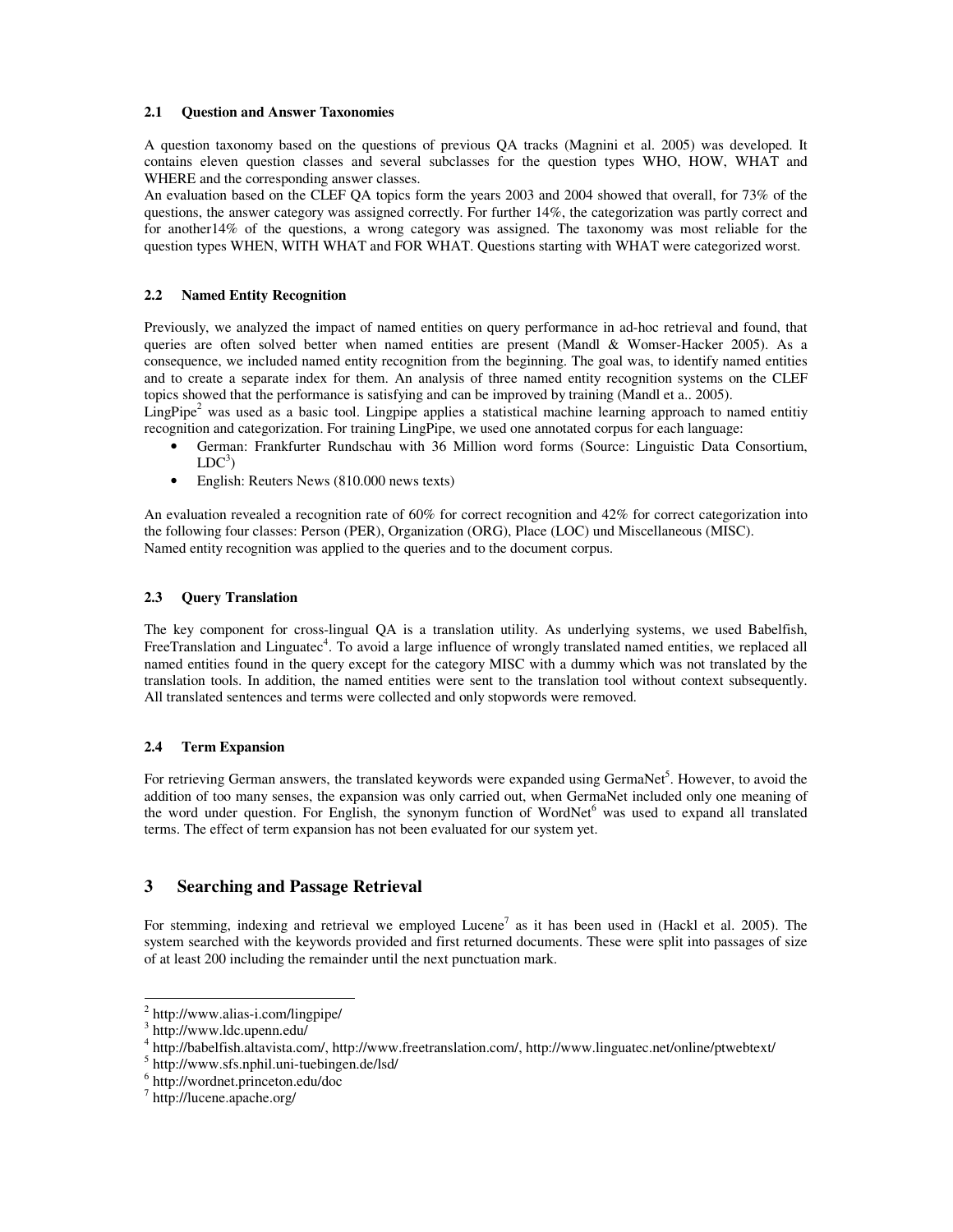#### **2.1 Question and Answer Taxonomies**

A question taxonomy based on the questions of previous QA tracks (Magnini et al. 2005) was developed. It contains eleven question classes and several subclasses for the question types WHO, HOW, WHAT and WHERE and the corresponding answer classes.

An evaluation based on the CLEF QA topics form the years 2003 and 2004 showed that overall, for 73% of the questions, the answer category was assigned correctly. For further 14%, the categorization was partly correct and for another14% of the questions, a wrong category was assigned. The taxonomy was most reliable for the question types WHEN, WITH WHAT and FOR WHAT. Questions starting with WHAT were categorized worst.

#### **2.2 Named Entity Recognition**

Previously, we analyzed the impact of named entities on query performance in ad-hoc retrieval and found, that queries are often solved better when named entities are present (Mandl & Womser-Hacker 2005). As a consequence, we included named entity recognition from the beginning. The goal was, to identify named entities and to create a separate index for them. An analysis of three named entity recognition systems on the CLEF topics showed that the performance is satisfying and can be improved by training (Mandl et a.. 2005).

LingPipe<sup>2</sup> was used as a basic tool. Lingpipe applies a statistical machine learning approach to named entitiy recognition and categorization. For training LingPipe, we used one annotated corpus for each language:

- German: Frankfurter Rundschau with 36 Million word forms (Source: Linguistic Data Consortium,  $LDC<sup>3</sup>)$
- English: Reuters News (810.000 news texts)

An evaluation revealed a recognition rate of 60% for correct recognition and 42% for correct categorization into the following four classes: Person (PER), Organization (ORG), Place (LOC) und Miscellaneous (MISC). Named entity recognition was applied to the queries and to the document corpus.

#### **2.3 Query Translation**

The key component for cross-lingual QA is a translation utility. As underlying systems, we used Babelfish, FreeTranslation and Linguatec<sup>4</sup>. To avoid a large influence of wrongly translated named entities, we replaced all named entities found in the query except for the category MISC with a dummy which was not translated by the translation tools. In addition, the named entities were sent to the translation tool without context subsequently. All translated sentences and terms were collected and only stopwords were removed.

#### **2.4 Term Expansion**

For retrieving German answers, the translated keywords were expanded using GermaNet<sup>5</sup>. However, to avoid the addition of too many senses, the expansion was only carried out, when GermaNet included only one meaning of the word under question. For English, the synonym function of WordNet<sup>6</sup> was used to expand all translated terms. The effect of term expansion has not been evaluated for our system yet.

#### **3 Searching and Passage Retrieval**

For stemming, indexing and retrieval we employed Lucene<sup>7</sup> as it has been used in (Hackl et al. 2005). The system searched with the keywords provided and first returned documents. These were split into passages of size of at least 200 including the remainder until the next punctuation mark.

<sup>&</sup>lt;sup>2</sup> http://www.alias-i.com/lingpipe/

<sup>3</sup> http://www.ldc.upenn.edu/

<sup>4</sup> http://babelfish.altavista.com/, http://www.freetranslation.com/, http://www.linguatec.net/online/ptwebtext/

<sup>&</sup>lt;sup>5</sup> http://www.sfs.nphil.uni-tuebingen.de/lsd/

<sup>6</sup> http://wordnet.princeton.edu/doc

<sup>7</sup> http://lucene.apache.org/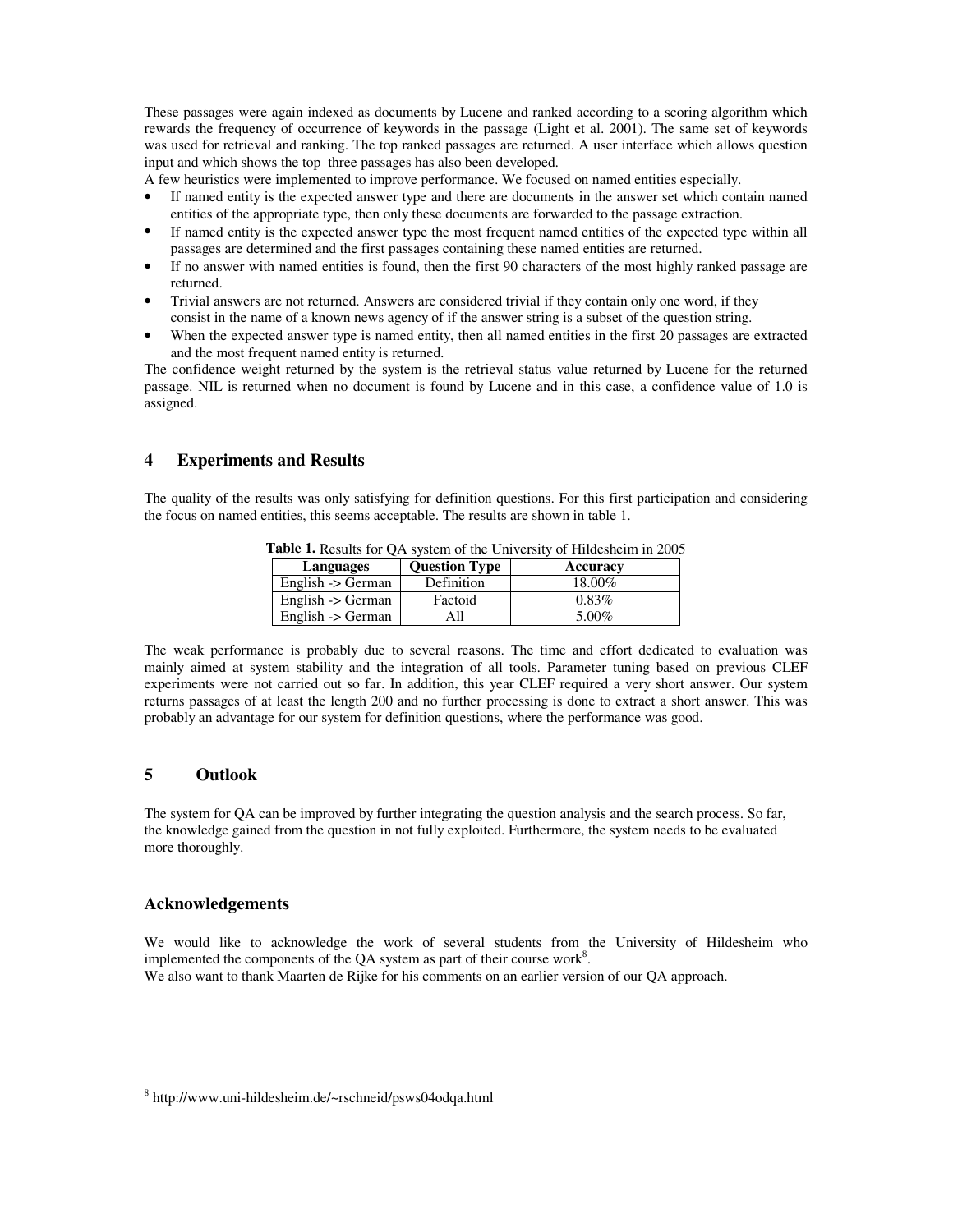These passages were again indexed as documents by Lucene and ranked according to a scoring algorithm which rewards the frequency of occurrence of keywords in the passage (Light et al. 2001). The same set of keywords was used for retrieval and ranking. The top ranked passages are returned. A user interface which allows question input and which shows the top three passages has also been developed.

A few heuristics were implemented to improve performance. We focused on named entities especially.

- If named entity is the expected answer type and there are documents in the answer set which contain named entities of the appropriate type, then only these documents are forwarded to the passage extraction.
- If named entity is the expected answer type the most frequent named entities of the expected type within all passages are determined and the first passages containing these named entities are returned.
- If no answer with named entities is found, then the first 90 characters of the most highly ranked passage are returned.
- Trivial answers are not returned. Answers are considered trivial if they contain only one word, if they consist in the name of a known news agency of if the answer string is a subset of the question string.
- When the expected answer type is named entity, then all named entities in the first 20 passages are extracted and the most frequent named entity is returned.

The confidence weight returned by the system is the retrieval status value returned by Lucene for the returned passage. NIL is returned when no document is found by Lucene and in this case, a confidence value of 1.0 is assigned.

## **4 Experiments and Results**

The quality of the results was only satisfying for definition questions. For this first participation and considering the focus on named entities, this seems acceptable. The results are shown in table 1.

| Languages         | <b>Question Type</b> | Accuracy |
|-------------------|----------------------|----------|
| English -> German | Definition           | 18.00%   |
| English -> German | Factoid              | $0.83\%$ |
| English -> German | All                  | 5.00%    |

**Table 1.** Results for QA system of the University of Hildesheim in 2005

The weak performance is probably due to several reasons. The time and effort dedicated to evaluation was mainly aimed at system stability and the integration of all tools. Parameter tuning based on previous CLEF experiments were not carried out so far. In addition, this year CLEF required a very short answer. Our system returns passages of at least the length 200 and no further processing is done to extract a short answer. This was probably an advantage for our system for definition questions, where the performance was good.

## **5 Outlook**

The system for QA can be improved by further integrating the question analysis and the search process. So far, the knowledge gained from the question in not fully exploited. Furthermore, the system needs to be evaluated more thoroughly.

#### **Acknowledgements**

We would like to acknowledge the work of several students from the University of Hildesheim who implemented the components of the QA system as part of their course work<sup>8</sup>. We also want to thank Maarten de Rijke for his comments on an earlier version of our QA approach.

<sup>8</sup> http://www.uni-hildesheim.de/~rschneid/psws04odqa.html